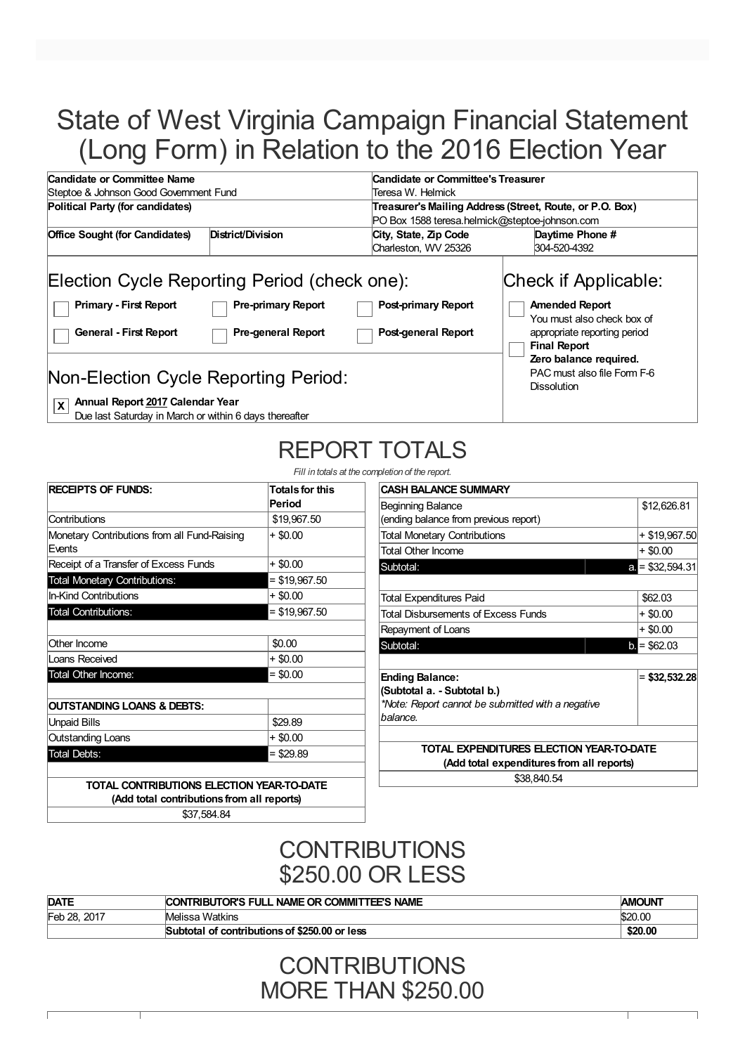# State of West Virginia Campaign Financial Statement (Long Form) in Relation to the 2016 Election Year

| Candidate or Committee Name                                                                                                                                      | Candidate or Committee's Treasurer                                        |                                               |                                                                                                             |  |  |
|------------------------------------------------------------------------------------------------------------------------------------------------------------------|---------------------------------------------------------------------------|-----------------------------------------------|-------------------------------------------------------------------------------------------------------------|--|--|
|                                                                                                                                                                  | Steptoe & Johnson Good Government Fund<br>Teresa W. Helmick               |                                               |                                                                                                             |  |  |
| Political Party (for candidates)                                                                                                                                 |                                                                           |                                               | Treasurer's Mailing Address (Street, Route, or P.O. Box)<br>PO Box 1588 teresa.helmick@steptoe-johnson.com  |  |  |
| <b>Office Sought (for Candidates)</b>                                                                                                                            | District/Division                                                         | City, State, Zip Code<br>Charleston, WV 25326 | Daytime Phone #<br>304-520-4392                                                                             |  |  |
| <b>Primary - First Report</b>                                                                                                                                    | Election Cycle Reporting Period (check one):<br><b>Pre-primary Report</b> | <b>Post-primary Report</b>                    | Check if Applicable:<br><b>Amended Report</b>                                                               |  |  |
| <b>Pre-general Report</b><br><b>General - First Report</b>                                                                                                       |                                                                           | Post-general Report                           | You must also check box of<br>appropriate reporting period<br><b>Final Report</b><br>Zero balance required. |  |  |
| Non-Election Cycle Reporting Period:                                                                                                                             |                                                                           |                                               | PAC must also file Form F-6<br><b>Dissolution</b>                                                           |  |  |
| Annual Report 2017 Calendar Year<br>lx.<br>$\mathbf{a}$ , $\mathbf{a}$ , $\mathbf{a}$ , $\mathbf{a}$ , $\mathbf{a}$ , $\mathbf{a}$ , $\mathbf{a}$ , $\mathbf{a}$ |                                                                           |                                               |                                                                                                             |  |  |

Due last Saturday in March or within 6 days thereafter

# REPORT TOTALS

*Fill in totals at the completion of the report.*

**CASH BALANCE SUMMARY**

| <b>RECEIPTS OF FUNDS:</b>                              | <b>Totals for this</b><br>Period |
|--------------------------------------------------------|----------------------------------|
| Contributions                                          | \$19,967.50                      |
| Monetary Contributions from all Fund-Raising<br>Events | $+$ \$0.00                       |
| Receipt of a Transfer of Excess Funds                  | + \$0.00                         |
| <b>Total Monetary Contributions:</b>                   | $=$ \$19,967.50                  |
| In-Kind Contributions                                  | + \$0.00                         |
| <b>Total Contributions:</b>                            | $=$ \$19,967.50                  |
| Other Income                                           | \$0.00                           |
| Loans Received                                         | + \$0.00                         |
| <b>Total Other Income:</b>                             | $= $0.00$                        |
| <b>OUTSTANDING LOANS &amp; DEBTS:</b>                  |                                  |
| <b>Unpaid Bills</b>                                    | \$29.89                          |
| Outstanding Loans                                      | + \$0.00                         |
| Total Debts:                                           | = \$29.89                        |

| \$12,626.81<br>Beginning Balance                  |                      |  |  |
|---------------------------------------------------|----------------------|--|--|
| (ending balance from previous report)             |                      |  |  |
| <b>Total Monetary Contributions</b>               | + \$19,967.50        |  |  |
| <b>Total Other Income</b>                         | + \$0.00             |  |  |
| Subtotal:                                         | $= $32,594.31$<br>a. |  |  |
|                                                   |                      |  |  |
| Total Expenditures Paid                           | \$62.03              |  |  |
| <b>Total Disbursements of Excess Funds</b>        | + \$0.00             |  |  |
| Repayment of Loans                                | + \$0.00             |  |  |
| Subtotal:                                         | $=$ \$62.03<br>b.    |  |  |
|                                                   |                      |  |  |
| <b>Ending Balance:</b>                            | \$32,532.28          |  |  |
| (Subtotal a. - Subtotal b.)                       |                      |  |  |
| *Note: Report cannot be submitted with a negative |                      |  |  |
| balance.                                          |                      |  |  |
|                                                   |                      |  |  |
| TOTAL EXPENDITURES ELECTION YEAR-TO-DATE          |                      |  |  |
| (Add total expenditures from all reports)         |                      |  |  |
| \$38,840.54                                       |                      |  |  |

**TOTAL CONTRIBUTIONS ELECTION YEAR-TO-DATE (Add total contributions from all reports)**

\$37,584.84

## **CONTRIBUTIONS** \$250.00 OR LESS

| <b>DATE</b>     | CONTRIBUTOR'S FULL NAME OR COMMITTEE'S NAME      | <b>AMOUNT</b> |
|-----------------|--------------------------------------------------|---------------|
| Feb 28.<br>2017 | Melissa Watkins                                  | \$20.00       |
|                 | of contributions of \$250,00 or less<br>Subtotal | \$20.00       |

**CONTRIBUTIONS** MORE THAN \$250.00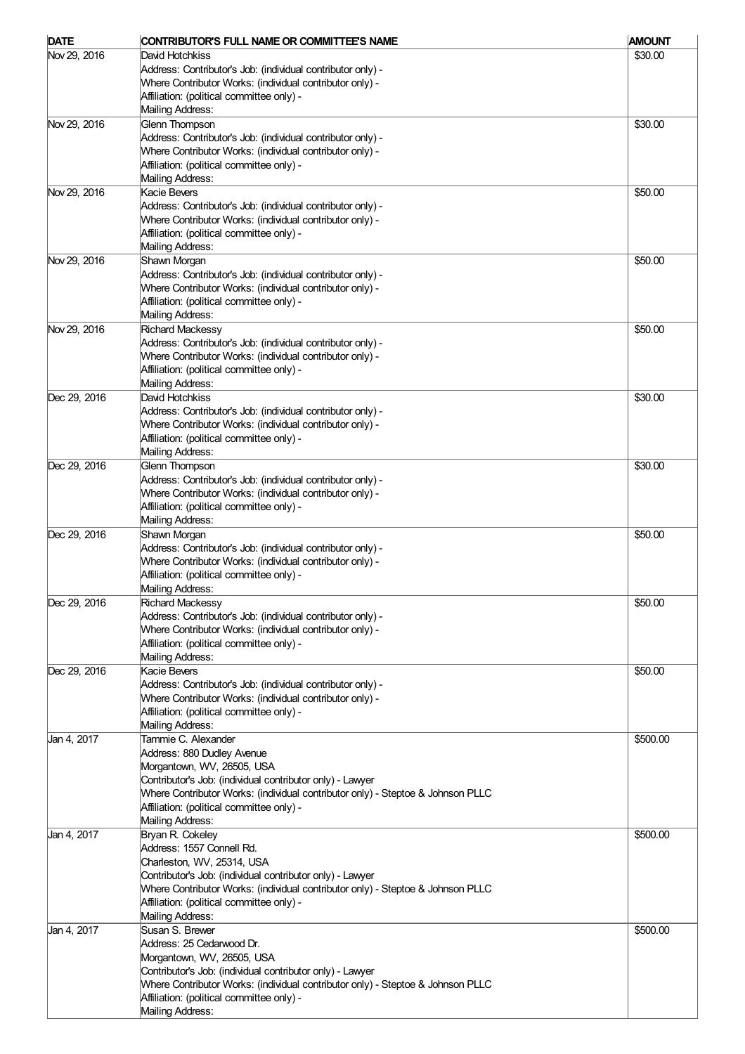| <b>DATE</b>  | CONTRIBUTOR'S FULL NAME OR COMMITTEE'S NAME                                                                                                  | <b>AMOUNT</b> |
|--------------|----------------------------------------------------------------------------------------------------------------------------------------------|---------------|
| Nov 29, 2016 | David Hotchkiss                                                                                                                              | \$30.00       |
|              | Address: Contributor's Job: (individual contributor only) -                                                                                  |               |
|              | Where Contributor Works: (individual contributor only) -                                                                                     |               |
|              | Affiliation: (political committee only) -                                                                                                    |               |
|              | Mailing Address:                                                                                                                             |               |
| Nov 29, 2016 | <b>Glenn Thompson</b>                                                                                                                        | \$30.00       |
|              | Address: Contributor's Job: (individual contributor only) -                                                                                  |               |
|              | Where Contributor Works: (individual contributor only) -                                                                                     |               |
|              | Affiliation: (political committee only) -                                                                                                    |               |
|              | Mailing Address:                                                                                                                             |               |
| Nov 29, 2016 | Kacie Bevers                                                                                                                                 | \$50.00       |
|              | Address: Contributor's Job: (individual contributor only) -                                                                                  |               |
|              | Where Contributor Works: (individual contributor only) -                                                                                     |               |
|              | Affiliation: (political committee only) -<br>Mailing Address:                                                                                |               |
| Nov 29, 2016 | Shawn Morgan                                                                                                                                 | \$50.00       |
|              | Address: Contributor's Job: (individual contributor only) -                                                                                  |               |
|              | Where Contributor Works: (individual contributor only) -                                                                                     |               |
|              | Affiliation: (political committee only) -                                                                                                    |               |
|              | Mailing Address:                                                                                                                             |               |
| Nov 29, 2016 | <b>Richard Mackessy</b>                                                                                                                      | \$50.00       |
|              | Address: Contributor's Job: (individual contributor only) -                                                                                  |               |
|              | Where Contributor Works: (individual contributor only) -                                                                                     |               |
|              | Affiliation: (political committee only) -                                                                                                    |               |
|              | Mailing Address:                                                                                                                             |               |
| Dec 29, 2016 | David Hotchkiss                                                                                                                              | \$30.00       |
|              | Address: Contributor's Job: (individual contributor only) -                                                                                  |               |
|              | Where Contributor Works: (individual contributor only) -                                                                                     |               |
|              | Affiliation: (political committee only) -                                                                                                    |               |
|              | Mailing Address:                                                                                                                             |               |
| Dec 29, 2016 | Glenn Thompson                                                                                                                               | \$30.00       |
|              | Address: Contributor's Job: (individual contributor only) -                                                                                  |               |
|              | Where Contributor Works: (individual contributor only) -                                                                                     |               |
|              | Affiliation: (political committee only) -                                                                                                    |               |
|              | Mailing Address:                                                                                                                             |               |
| Dec 29, 2016 | Shawn Morgan                                                                                                                                 | \$50.00       |
|              | Address: Contributor's Job: (individual contributor only) -                                                                                  |               |
|              | Where Contributor Works: (individual contributor only) -                                                                                     |               |
|              | Affiliation: (political committee only) -                                                                                                    |               |
|              | Mailing Address:                                                                                                                             |               |
| Dec 29, 2016 | <b>Richard Mackessy</b>                                                                                                                      | \$50.00       |
|              | Address: Contributor's Job: (individual contributor only) -<br>Where Contributor Works: (individual contributor only) -                      |               |
|              | Affiliation: (political committee only) -                                                                                                    |               |
|              | Mailing Address:                                                                                                                             |               |
| Dec 29, 2016 | Kacie Bevers                                                                                                                                 | \$50.00       |
|              | Address: Contributor's Job: (individual contributor only) -                                                                                  |               |
|              | Where Contributor Works: (individual contributor only) -                                                                                     |               |
|              | Affiliation: (political committee only) -                                                                                                    |               |
|              | Mailing Address:                                                                                                                             |               |
| Jan 4, 2017  | Tammie C. Alexander                                                                                                                          | \$500.00      |
|              | Address: 880 Dudley Avenue                                                                                                                   |               |
|              | Morgantown, WV, 26505, USA                                                                                                                   |               |
|              | Contributor's Job: (individual contributor only) - Lawyer                                                                                    |               |
|              | Where Contributor Works: (individual contributor only) - Steptoe & Johnson PLLC                                                              |               |
|              | Affiliation: (political committee only) -                                                                                                    |               |
|              | Mailing Address:                                                                                                                             |               |
| Jan 4, 2017  | Bryan R. Cokeley                                                                                                                             | \$500.00      |
|              | Address: 1557 Connell Rd.                                                                                                                    |               |
|              | Charleston, WV, 25314, USA                                                                                                                   |               |
|              | Contributor's Job: (individual contributor only) - Lawyer                                                                                    |               |
|              | Where Contributor Works: (individual contributor only) - Steptoe & Johnson PLLC                                                              |               |
|              | Affiliation: (political committee only) -                                                                                                    |               |
|              | Mailing Address:                                                                                                                             |               |
| Jan 4, 2017  | Susan S. Brewer                                                                                                                              | \$500.00      |
|              | Address: 25 Cedarwood Dr.                                                                                                                    |               |
|              | Morgantown, WV, 26505, USA                                                                                                                   |               |
|              | Contributor's Job: (individual contributor only) - Lawyer<br>Where Contributor Works: (individual contributor only) - Steptoe & Johnson PLLC |               |
|              | Affiliation: (political committee only) -                                                                                                    |               |
|              | Mailing Address:                                                                                                                             |               |
|              |                                                                                                                                              |               |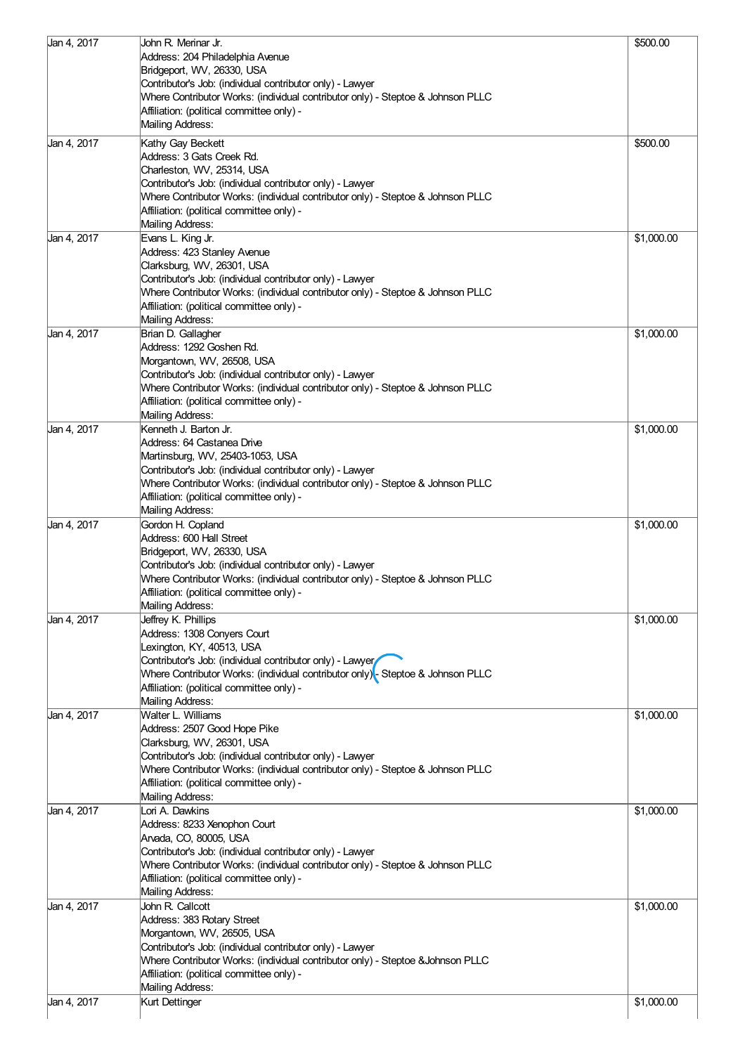| Jan 4, 2017 | John R. Merinar Jr.                                                             | \$500.00   |
|-------------|---------------------------------------------------------------------------------|------------|
|             | Address: 204 Philadelphia Avenue                                                |            |
|             | Bridgeport, WV, 26330, USA                                                      |            |
|             | Contributor's Job: (individual contributor only) - Lawyer                       |            |
|             | Where Contributor Works: (individual contributor only) - Steptoe & Johnson PLLC |            |
|             | Affiliation: (political committee only) -                                       |            |
|             | Mailing Address:                                                                |            |
| Jan 4, 2017 | Kathy Gay Beckett                                                               | \$500.00   |
|             | Address: 3 Gats Creek Rd.                                                       |            |
|             | Charleston, WV, 25314, USA                                                      |            |
|             | Contributor's Job: (individual contributor only) - Lawyer                       |            |
|             | Where Contributor Works: (individual contributor only) - Steptoe & Johnson PLLC |            |
|             | Affiliation: (political committee only) -                                       |            |
|             | Mailing Address:                                                                |            |
| Jan 4, 2017 | Evans L. King Jr.                                                               | \$1,000.00 |
|             | Address: 423 Stanley Avenue                                                     |            |
|             | Clarksburg, WV, 26301, USA                                                      |            |
|             | Contributor's Job: (individual contributor only) - Lawyer                       |            |
|             | Where Contributor Works: (individual contributor only) - Steptoe & Johnson PLLC |            |
|             | Affiliation: (political committee only) -                                       |            |
|             | Mailing Address:                                                                |            |
| Jan 4, 2017 | Brian D. Gallagher<br>Address: 1292 Goshen Rd.                                  | \$1,000.00 |
|             |                                                                                 |            |
|             | Morgantown, WV, 26508, USA                                                      |            |
|             | Contributor's Job: (individual contributor only) - Lawyer                       |            |
|             | Where Contributor Works: (individual contributor only) - Steptoe & Johnson PLLC |            |
|             | Affiliation: (political committee only) -<br>Mailing Address:                   |            |
| Jan 4, 2017 | Kenneth J. Barton Jr.                                                           | \$1,000.00 |
|             | Address: 64 Castanea Drive                                                      |            |
|             | Martinsburg, WV, 25403-1053, USA                                                |            |
|             | Contributor's Job: (individual contributor only) - Lawyer                       |            |
|             | Where Contributor Works: (individual contributor only) - Steptoe & Johnson PLLC |            |
|             | Affiliation: (political committee only) -                                       |            |
|             | Mailing Address:                                                                |            |
| Jan 4, 2017 | Gordon H. Copland                                                               | \$1,000.00 |
|             | Address: 600 Hall Street                                                        |            |
|             | Bridgeport, WV, 26330, USA                                                      |            |
|             | Contributor's Job: (individual contributor only) - Lawyer                       |            |
|             | Where Contributor Works: (individual contributor only) - Steptoe & Johnson PLLC |            |
|             | Affiliation: (political committee only) -                                       |            |
|             | Mailing Address:                                                                |            |
| Jan 4, 2017 | Jeffrey K. Phillips                                                             | \$1,000.00 |
|             | Address: 1308 Conyers Court                                                     |            |
|             | Lexington, KY, 40513, USA                                                       |            |
|             | Contributor's Job: (individual contributor only) - Lawyer                       |            |
|             | Where Contributor Works: (individual contributor only) Steptoe & Johnson PLLC   |            |
|             | Affiliation: (political committee only) -                                       |            |
|             | Mailing Address:<br>Walter L. Williams                                          |            |
| Jan 4, 2017 | Address: 2507 Good Hope Pike                                                    | \$1,000.00 |
|             | Clarksburg, WV, 26301, USA                                                      |            |
|             | Contributor's Job: (individual contributor only) - Lawyer                       |            |
|             | Where Contributor Works: (individual contributor only) - Steptoe & Johnson PLLC |            |
|             | Affiliation: (political committee only) -                                       |            |
|             | Mailing Address:                                                                |            |
| Jan 4, 2017 | Lori A. Dawkins                                                                 | \$1,000.00 |
|             | Address: 8233 Xenophon Court                                                    |            |
|             | Arvada, CO, 80005, USA                                                          |            |
|             | Contributor's Job: (individual contributor only) - Lawyer                       |            |
|             | Where Contributor Works: (individual contributor only) - Steptoe & Johnson PLLC |            |
|             | Affiliation: (political committee only) -                                       |            |
|             | Mailing Address:                                                                |            |
| Jan 4, 2017 | John R. Callcott                                                                | \$1,000.00 |
|             | Address: 383 Rotary Street                                                      |            |
|             | Morgantown, WV, 26505, USA                                                      |            |
|             | Contributor's Job: (individual contributor only) - Lawyer                       |            |
|             | Where Contributor Works: (individual contributor only) - Steptoe & Johnson PLLC |            |
|             | Affiliation: (political committee only) -                                       |            |
|             | Mailing Address:                                                                |            |
| Jan 4, 2017 | Kurt Dettinger                                                                  | \$1,000.00 |
|             |                                                                                 |            |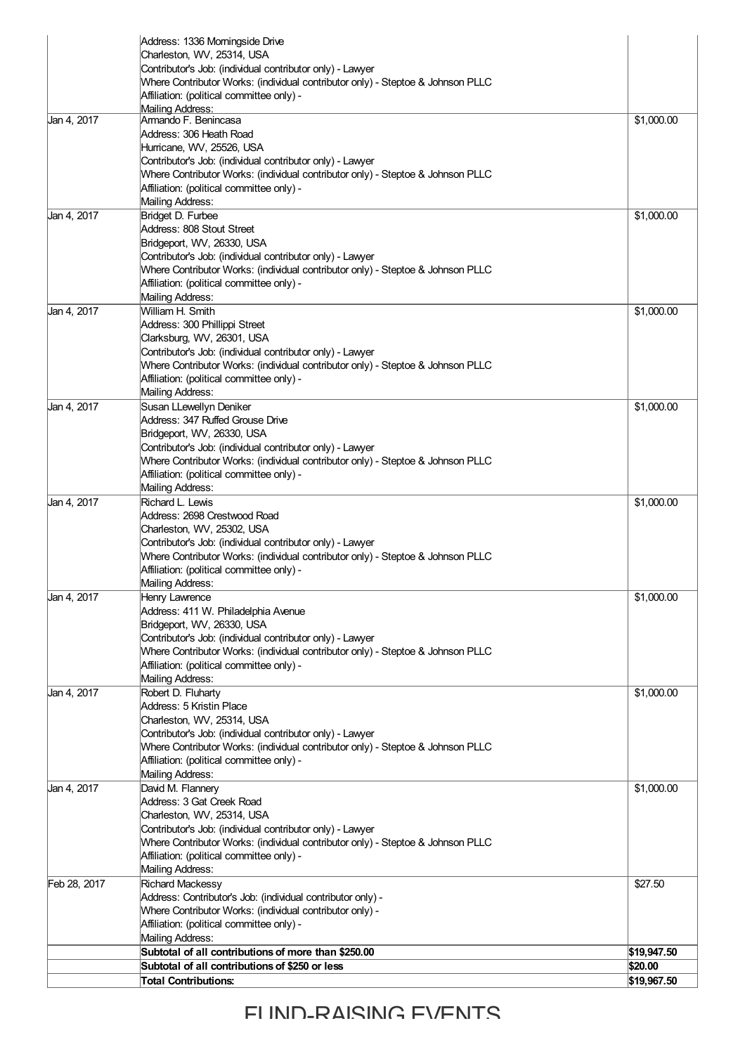|              | Address: 1336 Morningside Drive                                                                                                              |             |
|--------------|----------------------------------------------------------------------------------------------------------------------------------------------|-------------|
|              | Charleston, WV, 25314, USA                                                                                                                   |             |
|              | Contributor's Job: (individual contributor only) - Lawyer                                                                                    |             |
|              | Where Contributor Works: (individual contributor only) - Steptoe & Johnson PLLC<br>Affiliation: (political committee only) -                 |             |
|              | Mailing Address:                                                                                                                             |             |
| Jan 4, 2017  | Armando F. Benincasa                                                                                                                         | \$1,000.00  |
|              | Address: 306 Heath Road                                                                                                                      |             |
|              | Hurricane, WV, 25526, USA                                                                                                                    |             |
|              | Contributor's Job: (individual contributor only) - Lawyer<br>Where Contributor Works: (individual contributor only) - Steptoe & Johnson PLLC |             |
|              | Affiliation: (political committee only) -                                                                                                    |             |
|              | Mailing Address:                                                                                                                             |             |
| Jan 4, 2017  | Bridget D. Furbee                                                                                                                            | \$1,000.00  |
|              | Address: 808 Stout Street                                                                                                                    |             |
|              | Bridgeport, WV, 26330, USA                                                                                                                   |             |
|              | Contributor's Job: (individual contributor only) - Lawyer                                                                                    |             |
|              | Where Contributor Works: (individual contributor only) - Steptoe & Johnson PLLC<br>Affiliation: (political committee only) -                 |             |
|              | Mailing Address:                                                                                                                             |             |
| Jan 4, 2017  | William H. Smith                                                                                                                             | \$1,000.00  |
|              | Address: 300 Phillippi Street                                                                                                                |             |
|              | Clarksburg, WV, 26301, USA                                                                                                                   |             |
|              | Contributor's Job: (individual contributor only) - Lawyer                                                                                    |             |
|              | Where Contributor Works: (individual contributor only) - Steptoe & Johnson PLLC                                                              |             |
|              | Affiliation: (political committee only) -<br>Mailing Address:                                                                                |             |
| Jan 4, 2017  | Susan LLewellyn Deniker                                                                                                                      | \$1,000.00  |
|              | Address: 347 Ruffed Grouse Drive                                                                                                             |             |
|              | Bridgeport, WV, 26330, USA                                                                                                                   |             |
|              | Contributor's Job: (individual contributor only) - Lawyer                                                                                    |             |
|              | Where Contributor Works: (individual contributor only) - Steptoe & Johnson PLLC                                                              |             |
|              | Affiliation: (political committee only) -                                                                                                    |             |
| Jan 4, 2017  | Mailing Address:<br>Richard L. Lewis                                                                                                         | \$1,000.00  |
|              | Address: 2698 Crestwood Road                                                                                                                 |             |
|              | Charleston, WV, 25302, USA                                                                                                                   |             |
|              | Contributor's Job: (individual contributor only) - Lawyer                                                                                    |             |
|              | Where Contributor Works: (individual contributor only) - Steptoe & Johnson PLLC                                                              |             |
|              | Affiliation: (political committee only) -                                                                                                    |             |
| Jan 4, 2017  | Mailing Address:<br>Henry Lawrence                                                                                                           | \$1,000.00  |
|              | Address: 411 W. Philadelphia Avenue                                                                                                          |             |
|              | Bridgeport, WV, 26330, USA                                                                                                                   |             |
|              | Contributor's Job: (individual contributor only) - Lawyer                                                                                    |             |
|              | Where Contributor Works: (individual contributor only) - Steptoe & Johnson PLLC                                                              |             |
|              | Affiliation: (political committee only) -                                                                                                    |             |
| Jan 4, 2017  | Mailing Address:<br>Robert D. Fluharty                                                                                                       | \$1,000.00  |
|              | Address: 5 Kristin Place                                                                                                                     |             |
|              | Charleston, WV, 25314, USA                                                                                                                   |             |
|              | Contributor's Job: (individual contributor only) - Lawyer                                                                                    |             |
|              | Where Contributor Works: (individual contributor only) - Steptoe & Johnson PLLC                                                              |             |
|              | Affiliation: (political committee only) -                                                                                                    |             |
| Jan 4, 2017  | Mailing Address:                                                                                                                             |             |
|              | David M. Flannery<br>Address: 3 Gat Creek Road                                                                                               | \$1,000.00  |
|              | Charleston, WV, 25314, USA                                                                                                                   |             |
|              | Contributor's Job: (individual contributor only) - Lawyer                                                                                    |             |
|              | Where Contributor Works: (individual contributor only) - Steptoe & Johnson PLLC                                                              |             |
|              | Affiliation: (political committee only) -                                                                                                    |             |
|              | Mailing Address:                                                                                                                             |             |
| Feb 28, 2017 | <b>Richard Mackessy</b>                                                                                                                      | \$27.50     |
|              | Address: Contributor's Job: (individual contributor only) -<br>Where Contributor Works: (individual contributor only) -                      |             |
|              | Affiliation: (political committee only) -                                                                                                    |             |
|              | Mailing Address:                                                                                                                             |             |
|              | Subtotal of all contributions of more than \$250.00                                                                                          | \$19,947.50 |
|              | Subtotal of all contributions of \$250 or less                                                                                               | \$20.00     |
|              | Total Contributions:                                                                                                                         | \$19,967.50 |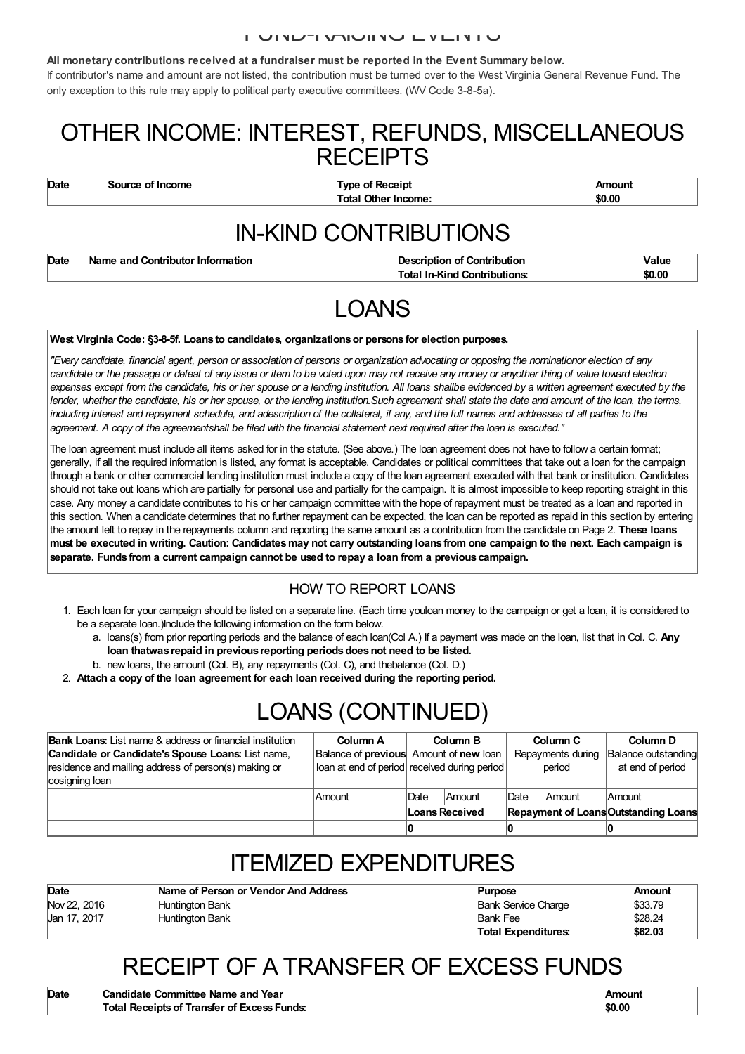#### FUND-RAISING EVENTS

#### **All monetary contributions received at a fundraiser must be reported in the Event Summary below.**

If contributor's name and amount are not listed, the contribution must be turned over to the West Virginia General Revenue Fund. The only exception to this rule may apply to political party executive committees. (WV Code 3-8-5a).

### OTHER INCOME: INTEREST, REFUNDS, MISCELLANEOUS **RECEIPTS**

**Date Source of Income Type of Receipt Amount Total Other Income: \$0.00**

## IN-KIND CONTRIBUTIONS

| Name and Contributor Information<br>Date |  |
|------------------------------------------|--|
|                                          |  |

**Description of Contribution Integral** *Integral* **<b>Value Total In-Kind Contributions: \$0.00**

### LOANS

#### **West Virginia Code: §3-8-5f. Loans to candidates, organizationsor persons for election purposes.**

"Every candidate, financial agent, person or association of persons or organization advocating or opposing the nominationor election of any candidate or the passage or defeat of any issue or item to be voted upon may not receive any money or anyother thing of value toward election expenses except from the candidate, his or her spouse or a lending institution. All loans shallbe evidenced by a written agreement executed by the lender, whether the candidate, his or her spouse, or the lending institution. Such agreement shall state the date and amount of the loan, the terms, including interest and repayment schedule, and adescription of the collateral, if any, and the full names and addresses of all parties to the agreement. A copy of the agreementshall be filed with the financial statement next required after the loan is executed."

The loan agreement must include all items asked for in the statute. (See above.) The loan agreement does not have to follow a certain format; generally, if all the required information is listed, any format is acceptable. Candidates or political committees that take out a loan for the campaign through a bank or other commercial lending institution must include a copy of the loan agreement executed with that bank or institution. Candidates should not take out loans which are partially for personal use and partially for the campaign. It is almost impossible to keep reporting straight in this case. Any money a candidate contributes to his or her campaign committee with the hope of repayment must be treated as a loan and reported in this section. When a candidate determines that no further repayment can be expected, the loan can be reported as repaid in this section by entering the amount left to repay in the repayments column and reporting the same amount as a contribution from the candidate on Page 2. **These loans** must be executed in writing. Caution: Candidates may not carry outstanding loans from one campaign to the next. Each campaign is **separate. Funds from a current campaign cannot be used to repay a loan from a previous campaign.**

#### HOW TO REPORT LOANS

- 1. Each loan for your campaign should be listed on a separate line. (Each time youloan money to the campaign or get a loan, it is considered to be a separate loan.)Include the following information on the form below.
	- a. loans(s) from prior reporting periods and the balance of each loan(Col A.) If a payment was made on the loan, list that in Col. C. **Any loan thatwas repaid in previous reporting periodsdoesnot need to be listed.**
	- b. new loans, the amount (Col. B), any repayments (Col. C), and thebalance (Col. D.)
- 2. **Attach a copy of the loan agreement for each loan received during the reporting period.**

# LOANS (CONTINUED)

| <b>Bank Loans:</b> List name & address or financial institution<br>Candidate or Candidate's Spouse Loans: List name,<br>residence and mailing address of person(s) making or | Column A<br>Balance of <b>previous</b> Amount of <b>new</b> loan<br>loan at end of period received during period |                | <b>Column B</b> |      | Column C<br>Repayments during<br>period | Column D<br>Balance outstanding<br>at end of period |
|------------------------------------------------------------------------------------------------------------------------------------------------------------------------------|------------------------------------------------------------------------------------------------------------------|----------------|-----------------|------|-----------------------------------------|-----------------------------------------------------|
| cosigning loan                                                                                                                                                               | Amount                                                                                                           | <b>Date</b>    | <b>Amount</b>   | Date | Amount                                  | <b>Amount</b>                                       |
|                                                                                                                                                                              |                                                                                                                  | Loans Received |                 |      |                                         | <b>Repayment of Loans Outstanding Loans</b>         |
|                                                                                                                                                                              |                                                                                                                  |                |                 |      |                                         |                                                     |

### ITEMIZED EXPENDITURES

| Date         | Name of Person or Vendor And Address | <b>Purpose</b>             | Amount  |
|--------------|--------------------------------------|----------------------------|---------|
| Nov 22, 2016 | Huntington Bank                      | <b>Bank Service Charge</b> | \$33.79 |
| Jan 17, 2017 | Huntington Bank                      | <b>Bank Fee</b>            | \$28.24 |
|              |                                      | <b>Total Expenditures:</b> | \$62.03 |

## RECEIPT OF A TRANSFER OF EXCESS FUNDS

| Date | <b>Candidate Committee Name and Year</b>    | Amount |
|------|---------------------------------------------|--------|
|      | Total Receipts of Transfer of Excess Funds: | \$0.00 |